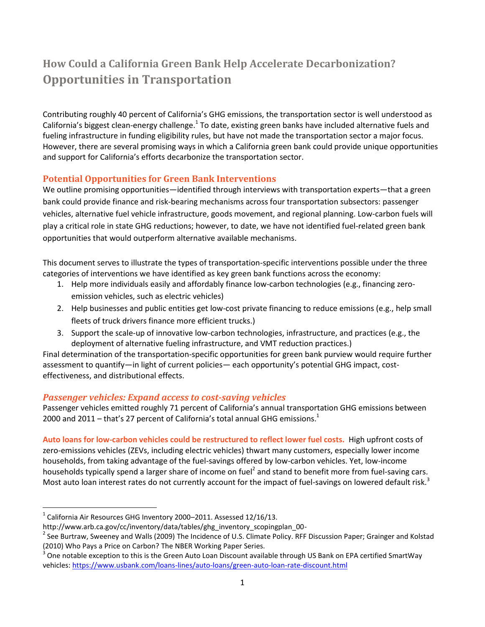# **How Could a California Green Bank Help Accelerate Decarbonization? Opportunities in Transportation**

Contributing roughly 40 percent of California's GHG emissions, the transportation sector is well understood as California's biggest clean-energy challenge.<sup>1</sup> To date, existing green banks have included alternative fuels and fueling infrastructure in funding eligibility rules, but have not made the transportation sector a major focus. However, there are several promising ways in which a California green bank could provide unique opportunities and support for California's efforts decarbonize the transportation sector.

## **Potential Opportunities for Green Bank Interventions**

We outline promising opportunities—identified through interviews with transportation experts—that a green bank could provide finance and risk-bearing mechanisms across four transportation subsectors: passenger vehicles, alternative fuel vehicle infrastructure, goods movement, and regional planning. Low-carbon fuels will play a critical role in state GHG reductions; however, to date, we have not identified fuel-related green bank opportunities that would outperform alternative available mechanisms.

This document serves to illustrate the types of transportation-specific interventions possible under the three categories of interventions we have identified as key green bank functions across the economy:

- 1. Help more individuals easily and affordably finance low-carbon technologies (e.g., financing zeroemission vehicles, such as electric vehicles)
- 2. Help businesses and public entities get low-cost private financing to reduce emissions (e.g., help small fleets of truck drivers finance more efficient trucks.)
- 3. Support the scale-up of innovative low-carbon technologies, infrastructure, and practices (e.g., the deployment of alternative fueling infrastructure, and VMT reduction practices.)

Final determination of the transportation-specific opportunities for green bank purview would require further assessment to quantify—in light of current policies— each opportunity's potential GHG impact, costeffectiveness, and distributional effects.

## *Passenger vehicles: Expand access to cost-saving vehicles*

Passenger vehicles emitted roughly 71 percent of California's annual transportation GHG emissions between 2000 and 2011 – that's 27 percent of California's total annual GHG emissions.<sup>1</sup>

**Auto loans for low-carbon vehicles could be restructured to reflect lower fuel costs.** High upfront costs of zero-emissions vehicles (ZEVs, including electric vehicles) thwart many customers, especially lower income households, from taking advantage of the fuel-savings offered by low-carbon vehicles. Yet, low-income households typically spend a larger share of income on fuel<sup>2</sup> and stand to benefit more from fuel-saving cars. Most auto loan interest rates do not currently account for the impact of fuel-savings on lowered default risk.<sup>3</sup>

 $\overline{a}$ 

<sup>1</sup> California Air Resources GHG Inventory 2000–2011. Assessed 12/16/13.

http://www.arb.ca.gov/cc/inventory/data/tables/ghg\_inventory\_scopingplan\_00-

<sup>&</sup>lt;sup>2</sup> See Burtraw, Sweeney and Walls (2009) The Incidence of U.S. Climate Policy. RFF Discussion Paper; Grainger and Kolstad (2010) Who Pays a Price on Carbon? The NBER Working Paper Series.

<sup>3</sup> One notable exception to this is the Green Auto Loan Discount available through US Bank on EPA certified SmartWay vehicles[: https://www.usbank.com/loans-lines/auto-loans/green-auto-loan-rate-discount.html](https://www.usbank.com/loans-lines/auto-loans/green-auto-loan-rate-discount.html)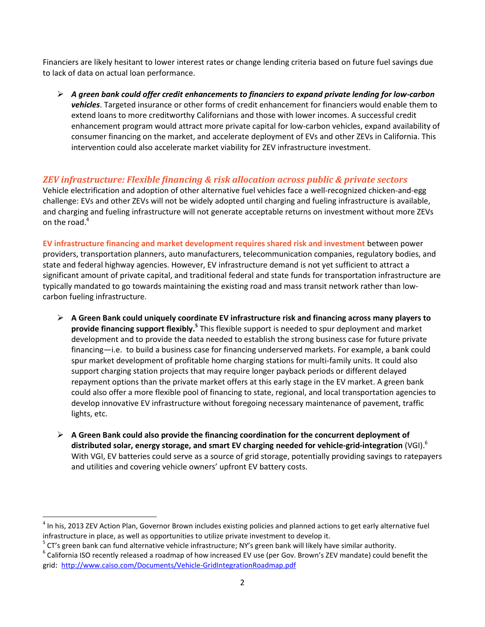Financiers are likely hesitant to lower interest rates or change lending criteria based on future fuel savings due to lack of data on actual loan performance.

 *A green bank could offer credit enhancements to financiers to expand private lending for low-carbon vehicles*. Targeted insurance or other forms of credit enhancement for financiers would enable them to extend loans to more creditworthy Californians and those with lower incomes. A successful credit enhancement program would attract more private capital for low-carbon vehicles, expand availability of consumer financing on the market, and accelerate deployment of EVs and other ZEVs in California. This intervention could also accelerate market viability for ZEV infrastructure investment.

#### *ZEV infrastructure: Flexible financing & risk allocation across public & private sectors*

Vehicle electrification and adoption of other alternative fuel vehicles face a well-recognized chicken-and-egg challenge: EVs and other ZEVs will not be widely adopted until charging and fueling infrastructure is available, and charging and fueling infrastructure will not generate acceptable returns on investment without more ZEVs on the road. 4

**EV infrastructure financing and market development requires shared risk and investment** between power providers, transportation planners, auto manufacturers, telecommunication companies, regulatory bodies, and state and federal highway agencies. However, EV infrastructure demand is not yet sufficient to attract a significant amount of private capital, and traditional federal and state funds for transportation infrastructure are typically mandated to go towards maintaining the existing road and mass transit network rather than lowcarbon fueling infrastructure.

- **A Green Bank could uniquely coordinate EV infrastructure risk and financing across many players to provide financing support flexibly.<sup>5</sup> This flexible support is needed to spur deployment and market** development and to provide the data needed to establish the strong business case for future private financing—i.e. to build a business case for financing underserved markets. For example, a bank could spur market development of profitable home charging stations for multi-family units. It could also support charging station projects that may require longer payback periods or different delayed repayment options than the private market offers at this early stage in the EV market. A green bank could also offer a more flexible pool of financing to state, regional, and local transportation agencies to develop innovative EV infrastructure without foregoing necessary maintenance of pavement, traffic lights, etc.
- **A Green Bank could also provide the financing coordination for the concurrent deployment of distributed solar, energy storage, and smart EV charging needed for vehicle-grid-integration** (VGI). 6 With VGI, EV batteries could serve as a source of grid storage, potentially providing savings to ratepayers and utilities and covering vehicle owners' upfront EV battery costs.

 $\overline{\phantom{a}}$ 

<sup>4</sup> In his, 2013 ZEV Action Plan, Governor Brown includes existing policies and planned actions to get early alternative fuel infrastructure in place, as well as opportunities to utilize private investment to develop it.

<sup>5</sup> CT's green bank can fund alternative vehicle infrastructure; NY's green bank will likely have similar authority.

 $^6$  California ISO recently released a roadmap of how increased EV use (per Gov. Brown's ZEV mandate) could benefit the grid: <http://www.caiso.com/Documents/Vehicle-GridIntegrationRoadmap.pdf>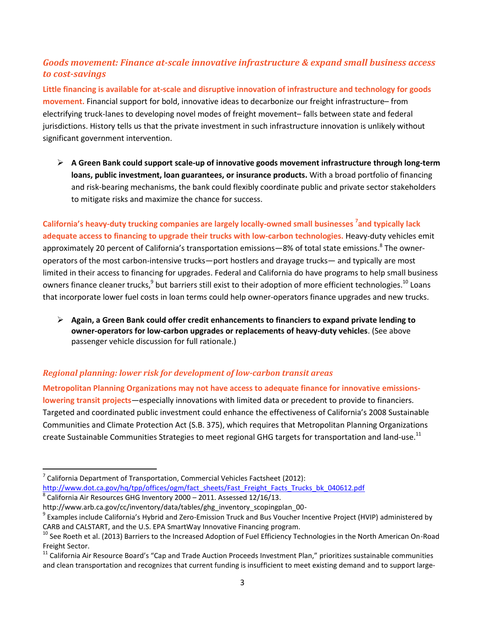# *Goods movement: Finance at-scale innovative infrastructure & expand small business access to cost-savings*

**Little financing is available for at-scale and disruptive innovation of infrastructure and technology for goods movement.** Financial support for bold, innovative ideas to decarbonize our freight infrastructure– from electrifying truck-lanes to developing novel modes of freight movement– falls between state and federal jurisdictions. History tells us that the private investment in such infrastructure innovation is unlikely without significant government intervention.

 **A Green Bank could support scale-up of innovative goods movement infrastructure through long-term loans, public investment, loan guarantees, or insurance products.** With a broad portfolio of financing and risk-bearing mechanisms, the bank could flexibly coordinate public and private sector stakeholders to mitigate risks and maximize the chance for success.

**California's heavy-duty trucking companies are largely locally-owned small businesses <sup>7</sup> and typically lack adequate access to financing to upgrade their trucks with low-carbon technologies.** Heavy-duty vehicles emit approximately 20 percent of California's transportation emissions—8% of total state emissions.<sup>8</sup> The owneroperators of the most carbon-intensive trucks—port hostlers and drayage trucks— and typically are most limited in their access to financing for upgrades. Federal and California do have programs to help small business owners finance cleaner trucks,<sup>9</sup> but barriers still exist to their adoption of more efficient technologies.<sup>10</sup> Loans that incorporate lower fuel costs in loan terms could help owner-operators finance upgrades and new trucks.

 **Again, a Green Bank could offer credit enhancements to financiers to expand private lending to owner-operators for low-carbon upgrades or replacements of heavy-duty vehicles**. (See above passenger vehicle discussion for full rationale.)

## *Regional planning: lower risk for development of low-carbon transit areas*

**Metropolitan Planning Organizations may not have access to adequate finance for innovative emissionslowering transit projects**—especially innovations with limited data or precedent to provide to financiers. Targeted and coordinated public investment could enhance the effectiveness of California's 2008 Sustainable Communities and Climate Protection Act (S.B. 375), which requires that Metropolitan Planning Organizations create Sustainable Communities Strategies to meet regional GHG targets for transportation and land-use.<sup>11</sup>

 $\overline{\phantom{a}}$ 

<sup>7</sup> California Department of Transportation, Commercial Vehicles Factsheet (2012): [http://www.dot.ca.gov/hq/tpp/offices/ogm/fact\\_sheets/Fast\\_Freight\\_Facts\\_Trucks\\_bk\\_040612.pdf](http://www.dot.ca.gov/hq/tpp/offices/ogm/fact_sheets/Fast_Freight_Facts_Trucks_bk_040612.pdf)

<sup>8</sup> California Air Resources GHG Inventory 2000 – 2011. Assessed 12/16/13.

http://www.arb.ca.gov/cc/inventory/data/tables/ghg\_inventory\_scopingplan\_00-

<sup>9</sup> Examples include California's Hybrid and Zero-Emission Truck and Bus Voucher Incentive Project (HVIP) administered by CARB and CALSTART, and the U.S. EPA SmartWay Innovative Financing program.

<sup>&</sup>lt;sup>10</sup> See Roeth et al. (2013) Barriers to the Increased Adoption of Fuel Efficiency Technologies in the North American On-Road Freight Sector.

 $11$  California Air Resource Board's "Cap and Trade Auction Proceeds Investment Plan," prioritizes sustainable communities and clean transportation and recognizes that current funding is insufficient to meet existing demand and to support large-